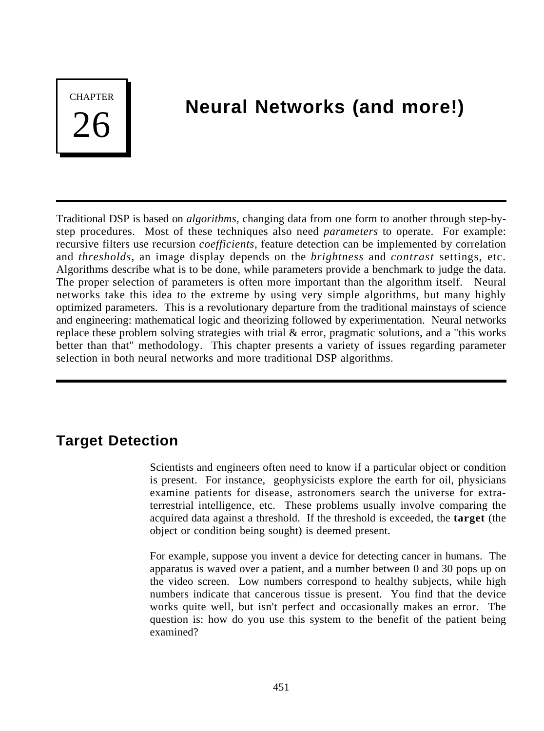**CHAPTER** 

# 26 **Neural Networks (and more!)**

Traditional DSP is based on *algorithms*, changing data from one form to another through step-bystep procedures. Most of these techniques also need *parameters* to operate. For example: recursive filters use recursion *coefficients*, feature detection can be implemented by correlation and *thresholds*, an image display depends on the *brightness* and *contrast* settings, etc. Algorithms describe what is to be done, while parameters provide a benchmark to judge the data. The proper selection of parameters is often more important than the algorithm itself. Neural networks take this idea to the extreme by using very simple algorithms, but many highly optimized parameters. This is a revolutionary departure from the traditional mainstays of science and engineering: mathematical logic and theorizing followed by experimentation. Neural networks replace these problem solving strategies with trial  $\&$  error, pragmatic solutions, and a "this works" better than that" methodology. This chapter presents a variety of issues regarding parameter selection in both neural networks and more traditional DSP algorithms.

# **Target Detection**

Scientists and engineers often need to know if a particular object or condition is present. For instance, geophysicists explore the earth for oil, physicians examine patients for disease, astronomers search the universe for extraterrestrial intelligence, etc. These problems usually involve comparing the acquired data against a threshold. If the threshold is exceeded, the **target** (the object or condition being sought) is deemed present.

For example, suppose you invent a device for detecting cancer in humans. The apparatus is waved over a patient, and a number between 0 and 30 pops up on the video screen. Low numbers correspond to healthy subjects, while high numbers indicate that cancerous tissue is present. You find that the device works quite well, but isn't perfect and occasionally makes an error. The question is: how do you use this system to the benefit of the patient being examined?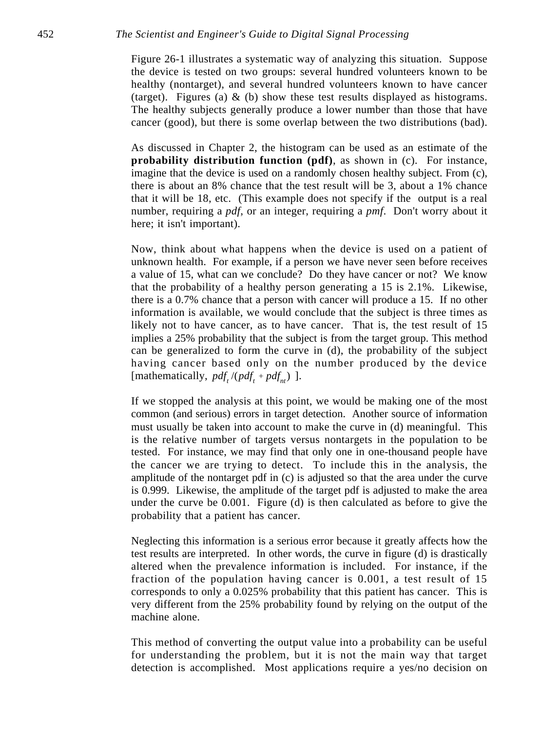Figure 26-1 illustrates a systematic way of analyzing this situation. Suppose the device is tested on two groups: several hundred volunteers known to be healthy (nontarget), and several hundred volunteers known to have cancer (target). Figures (a)  $\&$  (b) show these test results displayed as histograms. The healthy subjects generally produce a lower number than those that have cancer (good), but there is some overlap between the two distributions (bad).

As discussed in Chapter 2, the histogram can be used as an estimate of the **probability distribution function (pdf)**, as shown in (c). For instance, imagine that the device is used on a randomly chosen healthy subject. From (c), there is about an 8% chance that the test result will be 3, about a 1% chance that it will be 18, etc. (This example does not specify if the output is a real number, requiring a *pdf*, or an integer, requiring a *pmf*. Don't worry about it here; it isn't important).

Now, think about what happens when the device is used on a patient of unknown health. For example, if a person we have never seen before receives a value of 15, what can we conclude? Do they have cancer or not? We know that the probability of a healthy person generating a 15 is 2.1%. Likewise, there is a 0.7% chance that a person with cancer will produce a 15. If no other information is available, we would conclude that the subject is three times as likely not to have cancer, as to have cancer. That is, the test result of 15 implies a 25% probability that the subject is from the target group. This method can be generalized to form the curve in (d), the probability of the subject having cancer based only on the number produced by the device [mathematically,  $pdf_t / (pdf_t + pdf_{nt})$  ].

If we stopped the analysis at this point, we would be making one of the most common (and serious) errors in target detection. Another source of information must usually be taken into account to make the curve in (d) meaningful. This is the relative number of targets versus nontargets in the population to be tested. For instance, we may find that only one in one-thousand people have the cancer we are trying to detect. To include this in the analysis, the amplitude of the nontarget pdf in (c) is adjusted so that the area under the curve is 0.999. Likewise, the amplitude of the target pdf is adjusted to make the area under the curve be 0.001. Figure (d) is then calculated as before to give the probability that a patient has cancer.

Neglecting this information is a serious error because it greatly affects how the test results are interpreted. In other words, the curve in figure (d) is drastically altered when the prevalence information is included. For instance, if the fraction of the population having cancer is 0.001, a test result of 15 corresponds to only a 0.025% probability that this patient has cancer. This is very different from the 25% probability found by relying on the output of the machine alone.

This method of converting the output value into a probability can be useful for understanding the problem, but it is not the main way that target detection is accomplished. Most applications require a yes/no decision on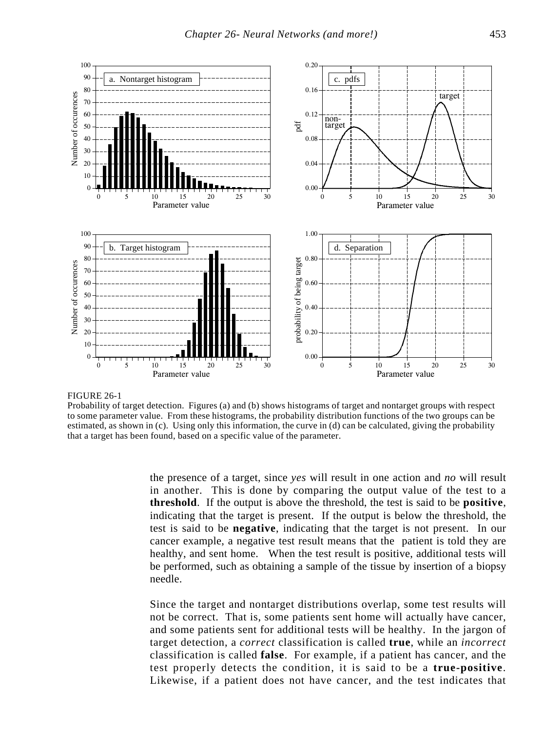

#### FIGURE 26-1

Probability of target detection. Figures (a) and (b) shows histograms of target and nontarget groups with respect to some parameter value. From these histograms, the probability distribution functions of the two groups can be estimated, as shown in (c). Using only this information, the curve in (d) can be calculated, giving the probability that a target has been found, based on a specific value of the parameter.

the presence of a target, since *yes* will result in one action and *no* will result in another. This is done by comparing the output value of the test to a **threshold**. If the output is above the threshold, the test is said to be **positive**, indicating that the target is present. If the output is below the threshold, the test is said to be **negative**, indicating that the target is not present. In our cancer example, a negative test result means that the patient is told they are healthy, and sent home. When the test result is positive, additional tests will be performed, such as obtaining a sample of the tissue by insertion of a biopsy needle.

Since the target and nontarget distributions overlap, some test results will not be correct. That is, some patients sent home will actually have cancer, and some patients sent for additional tests will be healthy. In the jargon of target detection, a *correct* classification is called **true**, while an *incorrect* classification is called **false**. For example, if a patient has cancer, and the test properly detects the condition, it is said to be a **true-positive**. Likewise, if a patient does not have cancer, and the test indicates that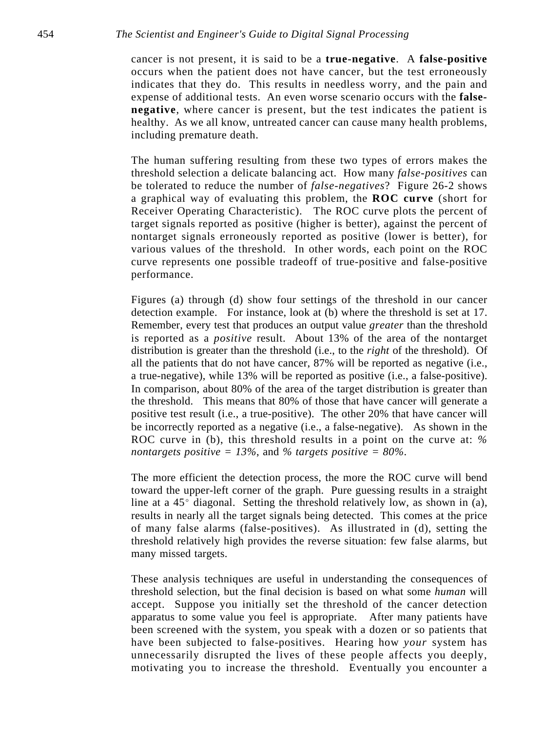#### 454 *The Scientist and Engineer's Guide to Digital Signal Processing*

cancer is not present, it is said to be a **true-negative**. A **false-positive** occurs when the patient does not have cancer, but the test erroneously indicates that they do. This results in needless worry, and the pain and expense of additional tests. An even worse scenario occurs with the **falsenegative**, where cancer is present, but the test indicates the patient is healthy. As we all know, untreated cancer can cause many health problems, including premature death.

The human suffering resulting from these two types of errors makes the threshold selection a delicate balancing act. How many *false-positives* can be tolerated to reduce the number of *false-negatives*? Figure 26-2 shows a graphical way of evaluating this problem, the **ROC curve** (short for Receiver Operating Characteristic). The ROC curve plots the percent of target signals reported as positive (higher is better), against the percent of nontarget signals erroneously reported as positive (lower is better), for various values of the threshold. In other words, each point on the ROC curve represents one possible tradeoff of true-positive and false-positive performance.

Figures (a) through (d) show four settings of the threshold in our cancer detection example. For instance, look at (b) where the threshold is set at 17. Remember, every test that produces an output value *greater* than the threshold is reported as a *positive* result. About 13% of the area of the nontarget distribution is greater than the threshold (i.e., to the *right* of the threshold). Of all the patients that do not have cancer, 87% will be reported as negative (i.e., a true-negative), while 13% will be reported as positive (i.e., a false-positive). In comparison, about 80% of the area of the target distribution is greater than the threshold. This means that 80% of those that have cancer will generate a positive test result (i.e., a true-positive). The other 20% that have cancer will be incorrectly reported as a negative (i.e., a false-negative). As shown in the ROC curve in (b), this threshold results in a point on the curve at: *% nontargets positive = 13%*, and *% targets positive = 80%*.

The more efficient the detection process, the more the ROC curve will bend toward the upper-left corner of the graph. Pure guessing results in a straight line at a  $45^{\circ}$  diagonal. Setting the threshold relatively low, as shown in (a), results in nearly all the target signals being detected. This comes at the price of many false alarms (false-positives). As illustrated in (d), setting the threshold relatively high provides the reverse situation: few false alarms, but many missed targets.

These analysis techniques are useful in understanding the consequences of threshold selection, but the final decision is based on what some *human* will accept. Suppose you initially set the threshold of the cancer detection apparatus to some value you feel is appropriate. After many patients have been screened with the system, you speak with a dozen or so patients that have been subjected to false-positives. Hearing how *your* system has unnecessarily disrupted the lives of these people affects you deeply, motivating you to increase the threshold. Eventually you encounter a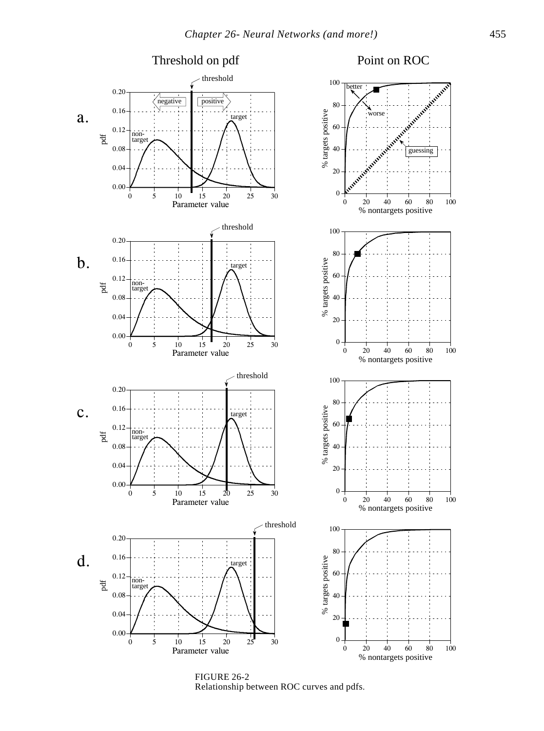

FIGURE 26-2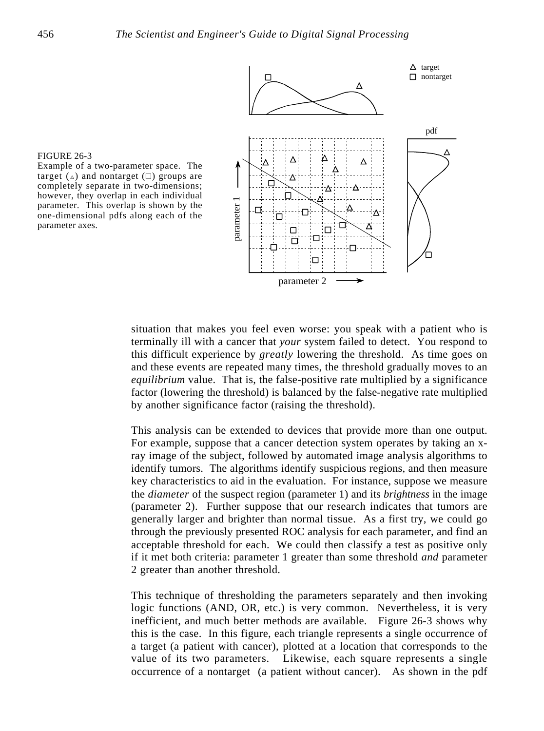

#### FIGURE 26-3

Example of a two-parameter space. The target ( $\Delta$ ) and nontarget ( $\Box$ ) groups are completely separate in two-dimensions; however, they overlap in each individual parameter. This overlap is shown by the one-dimensional pdfs along each of the parameter axes.

> situation that makes you feel even worse: you speak with a patient who is terminally ill with a cancer that *your* system failed to detect. You respond to this difficult experience by *greatly* lowering the threshold. As time goes on and these events are repeated many times, the threshold gradually moves to an *equilibrium* value. That is, the false-positive rate multiplied by a significance factor (lowering the threshold) is balanced by the false-negative rate multiplied by another significance factor (raising the threshold).

> This analysis can be extended to devices that provide more than one output. For example, suppose that a cancer detection system operates by taking an xray image of the subject, followed by automated image analysis algorithms to identify tumors. The algorithms identify suspicious regions, and then measure key characteristics to aid in the evaluation. For instance, suppose we measure the *diameter* of the suspect region (parameter 1) and its *brightness* in the image (parameter 2). Further suppose that our research indicates that tumors are generally larger and brighter than normal tissue. As a first try, we could go through the previously presented ROC analysis for each parameter, and find an acceptable threshold for each. We could then classify a test as positive only if it met both criteria: parameter 1 greater than some threshold *and* parameter 2 greater than another threshold.

> This technique of thresholding the parameters separately and then invoking logic functions (AND, OR, etc.) is very common. Nevertheless, it is very inefficient, and much better methods are available. Figure 26-3 shows why this is the case. In this figure, each triangle represents a single occurrence of a target (a patient with cancer), plotted at a location that corresponds to the value of its two parameters. Likewise, each square represents a single occurrence of a nontarget (a patient without cancer). As shown in the pdf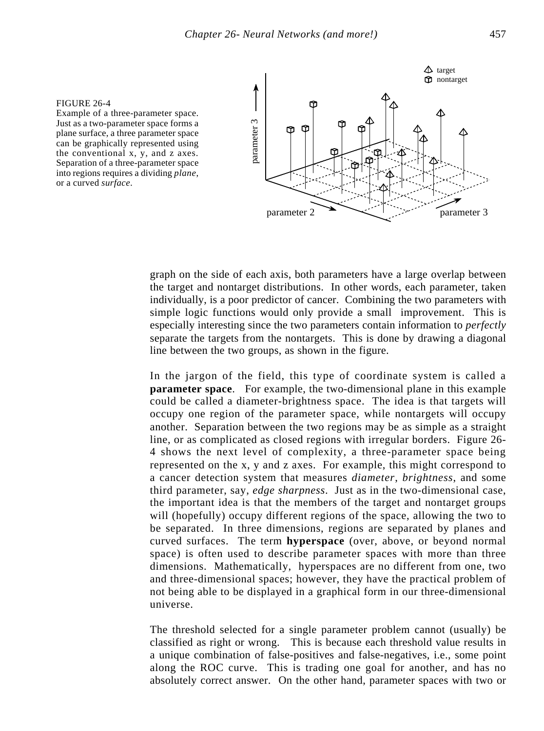



graph on the side of each axis, both parameters have a large overlap between the target and nontarget distributions. In other words, each parameter, taken individually, is a poor predictor of cancer. Combining the two parameters with simple logic functions would only provide a small improvement. This is especially interesting since the two parameters contain information to *perfectly* separate the targets from the nontargets. This is done by drawing a diagonal line between the two groups, as shown in the figure.

In the jargon of the field, this type of coordinate system is called a **parameter space**. For example, the two-dimensional plane in this example could be called a diameter-brightness space. The idea is that targets will occupy one region of the parameter space, while nontargets will occupy another. Separation between the two regions may be as simple as a straight line, or as complicated as closed regions with irregular borders. Figure 26- 4 shows the next level of complexity, a three-parameter space being represented on the x, y and z axes. For example, this might correspond to a cancer detection system that measures *diameter*, *brightness*, and some third parameter, say, *edge sharpness*. Just as in the two-dimensional case, the important idea is that the members of the target and nontarget groups will (hopefully) occupy different regions of the space, allowing the two to be separated. In three dimensions, regions are separated by planes and curved surfaces. The term **hyperspace** (over, above, or beyond normal space) is often used to describe parameter spaces with more than three dimensions. Mathematically, hyperspaces are no different from one, two and three-dimensional spaces; however, they have the practical problem of not being able to be displayed in a graphical form in our three-dimensional universe.

The threshold selected for a single parameter problem cannot (usually) be classified as right or wrong. This is because each threshold value results in a unique combination of false-positives and false-negatives, i.e., some point along the ROC curve. This is trading one goal for another, and has no absolutely correct answer. On the other hand, parameter spaces with two or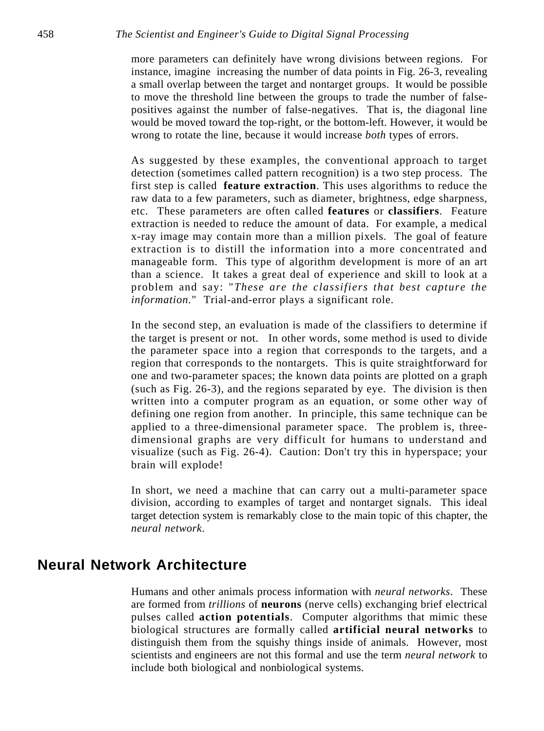more parameters can definitely have wrong divisions between regions. For instance, imagine increasing the number of data points in Fig. 26-3, revealing a small overlap between the target and nontarget groups. It would be possible to move the threshold line between the groups to trade the number of falsepositives against the number of false-negatives. That is, the diagonal line would be moved toward the top-right, or the bottom-left. However, it would be wrong to rotate the line, because it would increase *both* types of errors.

As suggested by these examples, the conventional approach to target detection (sometimes called pattern recognition) is a two step process. The first step is called **feature extraction**. This uses algorithms to reduce the raw data to a few parameters, such as diameter, brightness, edge sharpness, etc. These parameters are often called **features** or **classifiers**. Feature extraction is needed to reduce the amount of data. For example, a medical x-ray image may contain more than a million pixels. The goal of feature extraction is to distill the information into a more concentrated and manageable form. This type of algorithm development is more of an art than a science. It takes a great deal of experience and skill to look at a problem and say: "*These are the classifiers that best capture the information.*" Trial-and-error plays a significant role.

In the second step, an evaluation is made of the classifiers to determine if the target is present or not. In other words, some method is used to divide the parameter space into a region that corresponds to the targets, and a region that corresponds to the nontargets. This is quite straightforward for one and two-parameter spaces; the known data points are plotted on a graph (such as Fig. 26-3), and the regions separated by eye. The division is then written into a computer program as an equation, or some other way of defining one region from another. In principle, this same technique can be applied to a three-dimensional parameter space. The problem is, threedimensional graphs are very difficult for humans to understand and visualize (such as Fig. 26-4). Caution: Don't try this in hyperspace; your brain will explode!

In short, we need a machine that can carry out a multi-parameter space division, according to examples of target and nontarget signals. This ideal target detection system is remarkably close to the main topic of this chapter, the *neural network*.

## **Neural Network Architecture**

Humans and other animals process information with *neural networks*. These are formed from *trillions* of **neurons** (nerve cells) exchanging brief electrical pulses called **action potentials**. Computer algorithms that mimic these biological structures are formally called **artificial neural networks** to distinguish them from the squishy things inside of animals. However, most scientists and engineers are not this formal and use the term *neural network* to include both biological and nonbiological systems.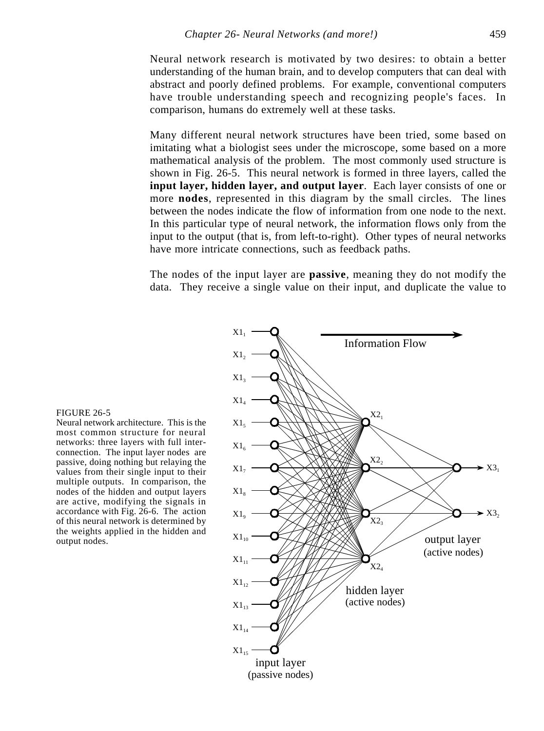Neural network research is motivated by two desires: to obtain a better understanding of the human brain, and to develop computers that can deal with abstract and poorly defined problems. For example, conventional computers have trouble understanding speech and recognizing people's faces. In comparison, humans do extremely well at these tasks.

Many different neural network structures have been tried, some based on imitating what a biologist sees under the microscope, some based on a more mathematical analysis of the problem. The most commonly used structure is shown in Fig. 26-5. This neural network is formed in three layers, called the **input layer, hidden layer, and output layer**. Each layer consists of one or more **nodes**, represented in this diagram by the small circles. The lines between the nodes indicate the flow of information from one node to the next. In this particular type of neural network, the information flows only from the input to the output (that is, from left-to-right). Other types of neural networks have more intricate connections, such as feedback paths.

The nodes of the input layer are **passive**, meaning they do not modify the data. They receive a single value on their input, and duplicate the value to

Information Flow

 $X1<sub>2</sub>$ 

 $X1<sub>1</sub>$ 



#### FIGURE 26-5

Neural network architecture. This is the most common structure for neural networks: three layers with full interconnection. The input layer nodes are passive, doing nothing but relaying the values from their single input to their multiple outputs. In comparison, the nodes of the hidden and output layers are active, modifying the signals in accordance with Fig. 26-6. The action of this neural network is determined by the weights applied in the hidden and output nodes.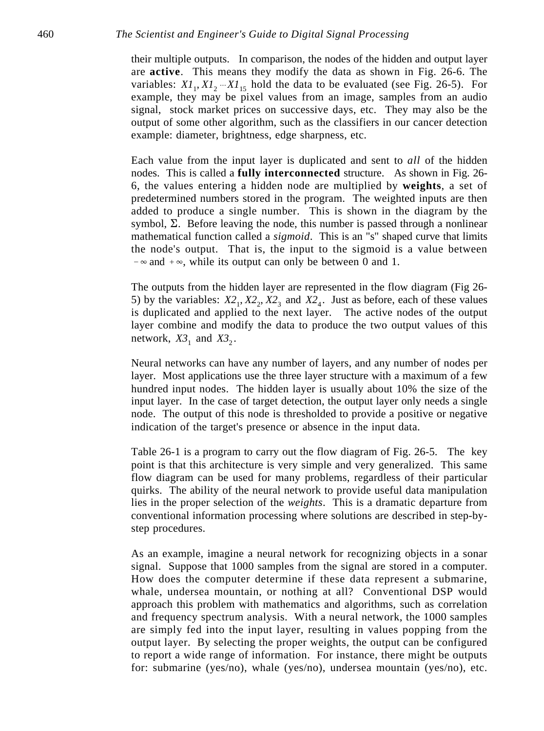their multiple outputs. In comparison, the nodes of the hidden and output layer are **active**. This means they modify the data as shown in Fig. 26-6. The variables:  $XI_1, XI_2 \cdots XI_{15}$  hold the data to be evaluated (see Fig. 26-5). For example, they may be pixel values from an image, samples from an audio signal, stock market prices on successive days, etc. They may also be the output of some other algorithm, such as the classifiers in our cancer detection example: diameter, brightness, edge sharpness, etc.

Each value from the input layer is duplicated and sent to *all* of the hidden nodes. This is called a **fully interconnected** structure. As shown in Fig. 26- 6, the values entering a hidden node are multiplied by **weights**, a set of predetermined numbers stored in the program. The weighted inputs are then added to produce a single number. This is shown in the diagram by the symbol,  $\Sigma$ . Before leaving the node, this number is passed through a nonlinear mathematical function called a *sigmoid*. This is an "s" shaped curve that limits the node's output. That is, the input to the sigmoid is a value between  $-\infty$  and  $+\infty$ , while its output can only be between 0 and 1.

The outputs from the hidden layer are represented in the flow diagram (Fig 26- 5) by the variables:  $X2_1, X2_2, X2_3$  and  $X2_4$ . Just as before, each of these values is duplicated and applied to the next layer. The active nodes of the output layer combine and modify the data to produce the two output values of this network,  $X3_1$  and  $X3_2$ .

Neural networks can have any number of layers, and any number of nodes per layer. Most applications use the three layer structure with a maximum of a few hundred input nodes. The hidden layer is usually about 10% the size of the input layer. In the case of target detection, the output layer only needs a single node. The output of this node is thresholded to provide a positive or negative indication of the target's presence or absence in the input data.

Table 26-1 is a program to carry out the flow diagram of Fig. 26-5. The key point is that this architecture is very simple and very generalized. This same flow diagram can be used for many problems, regardless of their particular quirks. The ability of the neural network to provide useful data manipulation lies in the proper selection of the *weights*. This is a dramatic departure from conventional information processing where solutions are described in step-bystep procedures.

As an example, imagine a neural network for recognizing objects in a sonar signal. Suppose that 1000 samples from the signal are stored in a computer. How does the computer determine if these data represent a submarine, whale, undersea mountain, or nothing at all? Conventional DSP would approach this problem with mathematics and algorithms, such as correlation and frequency spectrum analysis. With a neural network, the 1000 samples are simply fed into the input layer, resulting in values popping from the output layer. By selecting the proper weights, the output can be configured to report a wide range of information. For instance, there might be outputs for: submarine (yes/no), whale (yes/no), undersea mountain (yes/no), etc.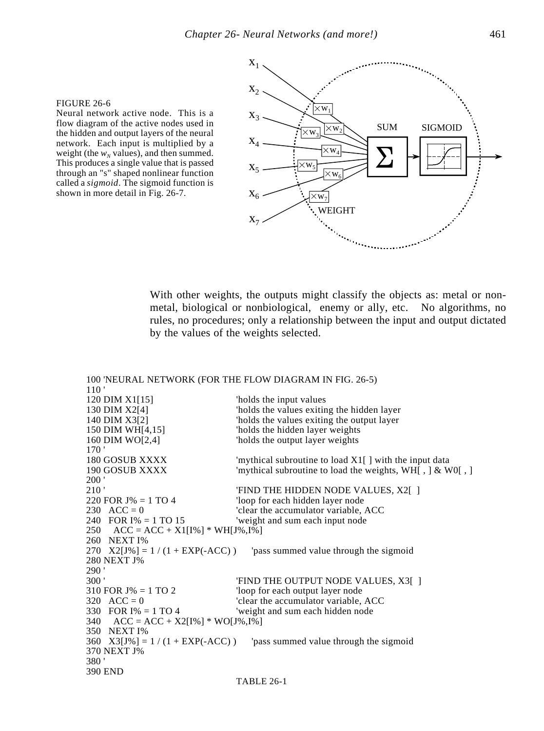

Neural network active node. This is a flow diagram of the active nodes used in the hidden and output layers of the neural network. Each input is multiplied by a weight (the  $w_N$  values), and then summed. This produces a single value that is passed through an "s" shaped nonlinear function called a *sigmoid*. The sigmoid function is shown in more detail in Fig. 26-7.



With other weights, the outputs might classify the objects as: metal or nonmetal, biological or nonbiological, enemy or ally, etc. No algorithms, no rules, no procedures; only a relationship between the input and output dictated by the values of the weights selected.

```
100 'NEURAL NETWORK (FOR THE FLOW DIAGRAM IN FIG. 26-5)
110 '<br>120 DIM X1[15]
                                       'holds the input values
130 DIM X2[4] 'holds the values exiting the hidden layer
140 DIM X3[2] 'holds the values exiting the output layer
150 DIM WH[4,15] 150 DIM WO[2,4] 160 DIM WO[2,4] 160 DIM WO[2,4]
                                       'holds the output layer weights
170 '
180 GOSUB XXXX The load X1[] with the input data
190 GOSUB XXXX 'mythical subroutine to load the weights, WH[, ] \& W0[, ]
200 '
210 ' 'FIND THE HIDDEN NODE VALUES, X2[ ]
220 FOR J% = 1 TO 4 \qquad 'loop for each hidden layer node
230 \text{ACC} = 0 <br>
240 \text{FOR } I\% = 1 \text{ TO } 15 <br>
240 \text{FOR } I\% = 1 \text{ TO } 15 <br>
240 \text{FOR } I\% = 1 \text{ TO } 15 <br>
240 \text{FOR } I\% = 1 \text{ TO } 15 <br>
240 \text{FOR } I\% = 1 \text{ TO } 15 <br>
240 \text{FOR } I\% = 1 \text{ TO } 15 <br>
240 \text{FOR } I\% = 1 \text{ TO } 15 <br>
240 \text{'weight and sum each input node
250 ACC = ACC + X1[I\%] * WH[J\%]I\%]260 NEXT I%<br>270 X2[J\%]=1/(1+EXP(-ACC))'pass summed value through the sigmoid
280 NEXT J%
290 '<br>300 '
                                       'FIND THE OUTPUT NODE VALUES, X3[ ]
310 FOR J% = 1 TO 2 \qquad 'loop for each output layer node
320 \text{ ACC} = 0<br>
330 \text{ FOR I\%} = 1 \text{ TO } 4<br>
'weight and sum each hidden node
                                       'weight and sum each hidden node
340 ACC = ACC + X2[I%] * WO[J%,I%]
350 NEXT I%
360 X3[J\%] = 1/(1 + EXP(-ACC)) 'pass summed value through the sigmoid
370 NEXT J%
380 '
390 END
                                        TABLE 26-1
```
#### FIGURE 26-6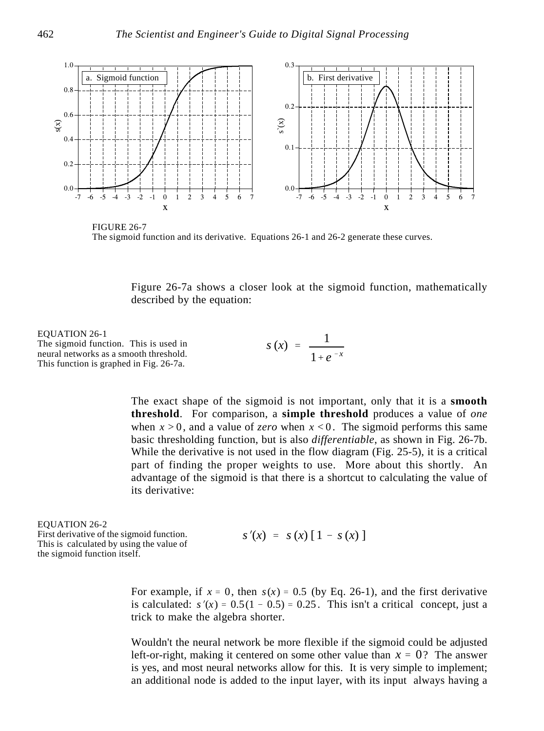

FIGURE 26-7 The sigmoid function and its derivative. Equations 26-1 and 26-2 generate these curves.

Figure 26-7a shows a closer look at the sigmoid function, mathematically described by the equation:

EQUATION 26-1 The sigmoid function. This is used in neural networks as a smooth threshold. This function is graphed in Fig. 26-7a. *s* (*x*) ' 1 1%*e* &*x*

The exact shape of the sigmoid is not important, only that it is a **smooth threshold**. For comparison, a **simple threshold** produces a value of *one* when  $x > 0$ , and a value of *zero* when  $x < 0$ . The sigmoid performs this same basic thresholding function, but is also *differentiable*, as shown in Fig. 26-7b. While the derivative is not used in the flow diagram (Fig. 25-5), it is a critical part of finding the proper weights to use. More about this shortly. An advantage of the sigmoid is that there is a shortcut to calculating the value of its derivative:

EQUATION 26-2 First derivative of the sigmoid function. This is calculated by using the value of the sigmoid function itself.

 $s'(x) = s(x) [1 - s(x)]$ 

For example, if  $x = 0$ , then  $s(x) = 0.5$  (by Eq. 26-1), and the first derivative is calculated:  $s'(x) = 0.5(1 - 0.5) = 0.25$ . This isn't a critical concept, just a trick to make the algebra shorter.

Wouldn't the neural network be more flexible if the sigmoid could be adjusted left-or-right, making it centered on some other value than  $x = 0$ ? The answer is yes, and most neural networks allow for this. It is very simple to implement; an additional node is added to the input layer, with its input always having a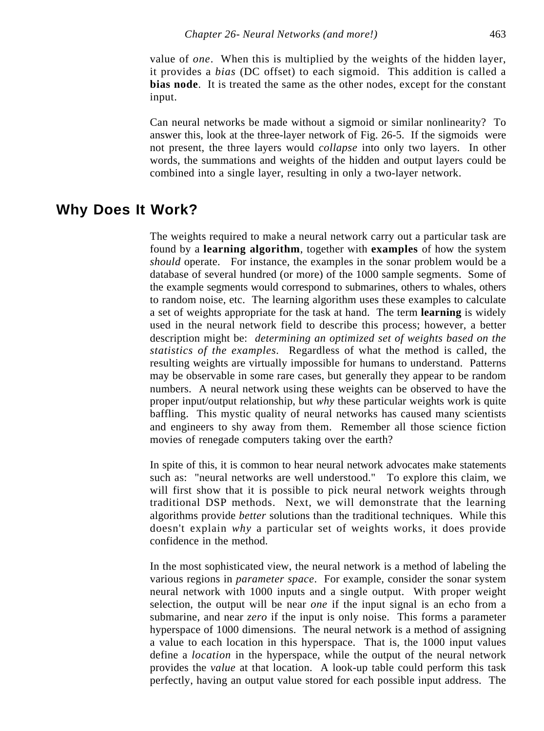value of *one*. When this is multiplied by the weights of the hidden layer, it provides a *bias* (DC offset) to each sigmoid. This addition is called a **bias node**. It is treated the same as the other nodes, except for the constant input.

Can neural networks be made without a sigmoid or similar nonlinearity? To answer this, look at the three-layer network of Fig. 26-5. If the sigmoids were not present, the three layers would *collapse* into only two layers. In other words, the summations and weights of the hidden and output layers could be combined into a single layer, resulting in only a two-layer network.

### **Why Does It Work?**

The weights required to make a neural network carry out a particular task are found by a **learning algorithm**, together with **examples** of how the system *should* operate. For instance, the examples in the sonar problem would be a database of several hundred (or more) of the 1000 sample segments. Some of the example segments would correspond to submarines, others to whales, others to random noise, etc. The learning algorithm uses these examples to calculate a set of weights appropriate for the task at hand. The term **learning** is widely used in the neural network field to describe this process; however, a better description might be: *determining an optimized set of weights based on the statistics of the examples.* Regardless of what the method is called, the resulting weights are virtually impossible for humans to understand. Patterns may be observable in some rare cases, but generally they appear to be random numbers. A neural network using these weights can be observed to have the proper input/output relationship, but *why* these particular weights work is quite baffling. This mystic quality of neural networks has caused many scientists and engineers to shy away from them. Remember all those science fiction movies of renegade computers taking over the earth?

In spite of this, it is common to hear neural network advocates make statements such as: "neural networks are well understood." To explore this claim, we will first show that it is possible to pick neural network weights through traditional DSP methods. Next, we will demonstrate that the learning algorithms provide *better* solutions than the traditional techniques. While this doesn't explain *why* a particular set of weights works, it does provide confidence in the method.

In the most sophisticated view, the neural network is a method of labeling the various regions in *parameter space*. For example, consider the sonar system neural network with 1000 inputs and a single output. With proper weight selection, the output will be near *one* if the input signal is an echo from a submarine, and near *zero* if the input is only noise. This forms a parameter hyperspace of 1000 dimensions. The neural network is a method of assigning a value to each location in this hyperspace. That is, the 1000 input values define a *location* in the hyperspace, while the output of the neural network provides the *value* at that location. A look-up table could perform this task perfectly, having an output value stored for each possible input address. The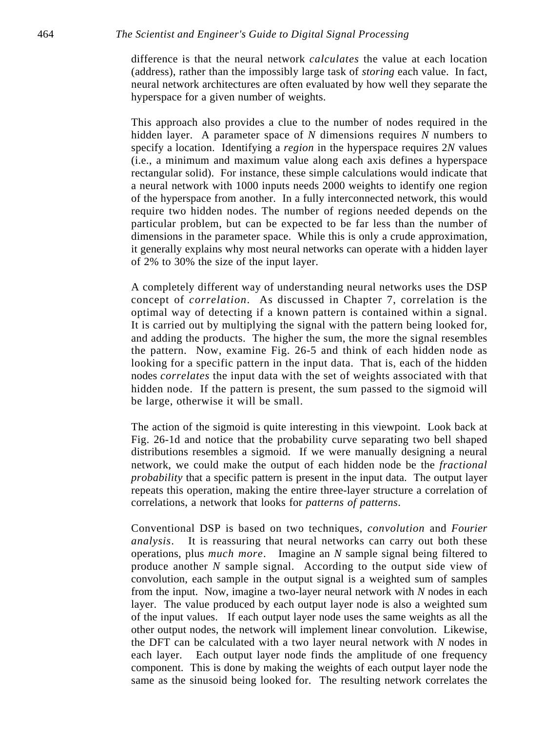#### 464 *The Scientist and Engineer's Guide to Digital Signal Processing*

difference is that the neural network *calculates* the value at each location (address), rather than the impossibly large task of *storing* each value. In fact, neural network architectures are often evaluated by how well they separate the hyperspace for a given number of weights.

This approach also provides a clue to the number of nodes required in the hidden layer. A parameter space of *N* dimensions requires *N* numbers to specify a location. Identifying a *region* in the hyperspace requires 2*N* values (i.e., a minimum and maximum value along each axis defines a hyperspace rectangular solid). For instance, these simple calculations would indicate that a neural network with 1000 inputs needs 2000 weights to identify one region of the hyperspace from another. In a fully interconnected network, this would require two hidden nodes. The number of regions needed depends on the particular problem, but can be expected to be far less than the number of dimensions in the parameter space. While this is only a crude approximation, it generally explains why most neural networks can operate with a hidden layer of 2% to 30% the size of the input layer.

A completely different way of understanding neural networks uses the DSP concept of *correlation*. As discussed in Chapter 7, correlation is the optimal way of detecting if a known pattern is contained within a signal. It is carried out by multiplying the signal with the pattern being looked for, and adding the products. The higher the sum, the more the signal resembles the pattern. Now, examine Fig. 26-5 and think of each hidden node as looking for a specific pattern in the input data. That is, each of the hidden nodes *correlates* the input data with the set of weights associated with that hidden node. If the pattern is present, the sum passed to the sigmoid will be large, otherwise it will be small.

The action of the sigmoid is quite interesting in this viewpoint. Look back at Fig. 26-1d and notice that the probability curve separating two bell shaped distributions resembles a sigmoid. If we were manually designing a neural network, we could make the output of each hidden node be the *fractional probability* that a specific pattern is present in the input data. The output layer repeats this operation, making the entire three-layer structure a correlation of correlations, a network that looks for *patterns of patterns*.

Conventional DSP is based on two techniques, *convolution* and *Fourier analysis*. It is reassuring that neural networks can carry out both these operations, plus *much more*. Imagine an *N* sample signal being filtered to produce another *N* sample signal. According to the output side view of convolution, each sample in the output signal is a weighted sum of samples from the input. Now, imagine a two-layer neural network with *N* nodes in each layer. The value produced by each output layer node is also a weighted sum of the input values. If each output layer node uses the same weights as all the other output nodes, the network will implement linear convolution. Likewise, the DFT can be calculated with a two layer neural network with *N* nodes in each layer. Each output layer node finds the amplitude of one frequency component. This is done by making the weights of each output layer node the same as the sinusoid being looked for. The resulting network correlates the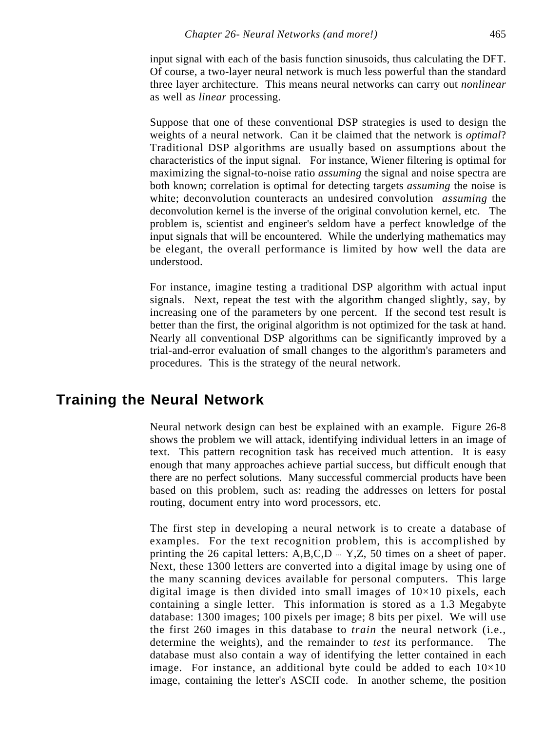input signal with each of the basis function sinusoids, thus calculating the DFT. Of course, a two-layer neural network is much less powerful than the standard three layer architecture. This means neural networks can carry out *nonlinear* as well as *linear* processing.

Suppose that one of these conventional DSP strategies is used to design the weights of a neural network. Can it be claimed that the network is *optimal*? Traditional DSP algorithms are usually based on assumptions about the characteristics of the input signal. For instance, Wiener filtering is optimal for maximizing the signal-to-noise ratio *assuming* the signal and noise spectra are both known; correlation is optimal for detecting targets *assuming* the noise is white; deconvolution counteracts an undesired convolution *assuming* the deconvolution kernel is the inverse of the original convolution kernel, etc. The problem is, scientist and engineer's seldom have a perfect knowledge of the input signals that will be encountered. While the underlying mathematics may be elegant, the overall performance is limited by how well the data are understood.

For instance, imagine testing a traditional DSP algorithm with actual input signals. Next, repeat the test with the algorithm changed slightly, say, by increasing one of the parameters by one percent. If the second test result is better than the first, the original algorithm is not optimized for the task at hand. Nearly all conventional DSP algorithms can be significantly improved by a trial-and-error evaluation of small changes to the algorithm's parameters and procedures. This is the strategy of the neural network.

# **Training the Neural Network**

Neural network design can best be explained with an example. Figure 26-8 shows the problem we will attack, identifying individual letters in an image of text. This pattern recognition task has received much attention. It is easy enough that many approaches achieve partial success, but difficult enough that there are no perfect solutions. Many successful commercial products have been based on this problem, such as: reading the addresses on letters for postal routing, document entry into word processors, etc.

The first step in developing a neural network is to create a database of examples. For the text recognition problem, this is accomplished by printing the 26 capital letters:  $A, B, C, D - Y, Z, 50$  times on a sheet of paper. Next, these 1300 letters are converted into a digital image by using one of the many scanning devices available for personal computers. This large digital image is then divided into small images of  $10\times10$  pixels, each containing a single letter. This information is stored as a 1.3 Megabyte database: 1300 images; 100 pixels per image; 8 bits per pixel. We will use the first 260 images in this database to *train* the neural network (i.e., determine the weights), and the remainder to *test* its performance. The database must also contain a way of identifying the letter contained in each image. For instance, an additional byte could be added to each  $10\times10$ image, containing the letter's ASCII code. In another scheme, the position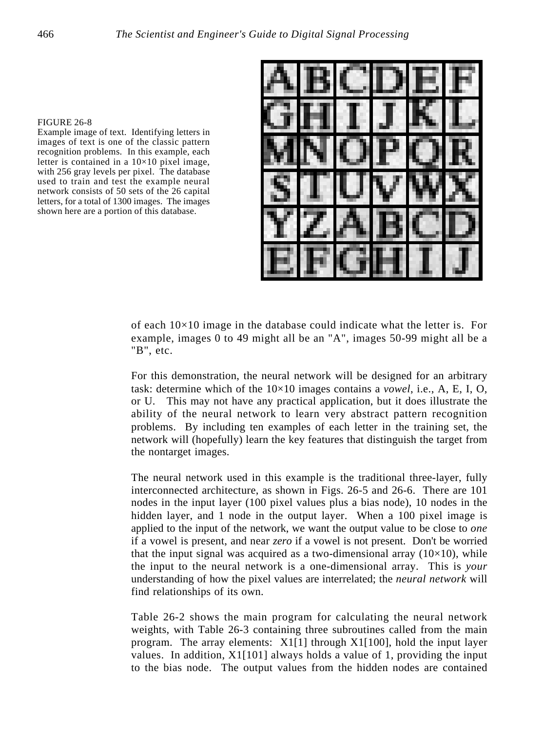#### FIGURE 26-8

Example image of text. Identifying letters in images of text is one of the classic pattern recognition problems. In this example, each letter is contained in a 10×10 pixel image, with 256 gray levels per pixel. The database used to train and test the example neural network consists of 50 sets of the 26 capital letters, for a total of 1300 images. The images shown here are a portion of this database.



of each  $10\times10$  image in the database could indicate what the letter is. For example, images 0 to 49 might all be an "A", images 50-99 might all be a "B", etc.

For this demonstration, the neural network will be designed for an arbitrary task: determine which of the 10×10 images contains a *vowel*, i.e., A, E, I, O, or U. This may not have any practical application, but it does illustrate the ability of the neural network to learn very abstract pattern recognition problems. By including ten examples of each letter in the training set, the network will (hopefully) learn the key features that distinguish the target from the nontarget images.

The neural network used in this example is the traditional three-layer, fully interconnected architecture, as shown in Figs. 26-5 and 26-6. There are 101 nodes in the input layer (100 pixel values plus a bias node), 10 nodes in the hidden layer, and 1 node in the output layer. When a 100 pixel image is applied to the input of the network, we want the output value to be close to *one* if a vowel is present, and near *zero* if a vowel is not present. Don't be worried that the input signal was acquired as a two-dimensional array  $(10\times10)$ , while the input to the neural network is a one-dimensional array. This is *your* understanding of how the pixel values are interrelated; the *neural network* will find relationships of its own.

Table 26-2 shows the main program for calculating the neural network weights, with Table 26-3 containing three subroutines called from the main program. The array elements: X1[1] through X1[100], hold the input layer values. In addition, X1[101] always holds a value of 1, providing the input to the bias node. The output values from the hidden nodes are contained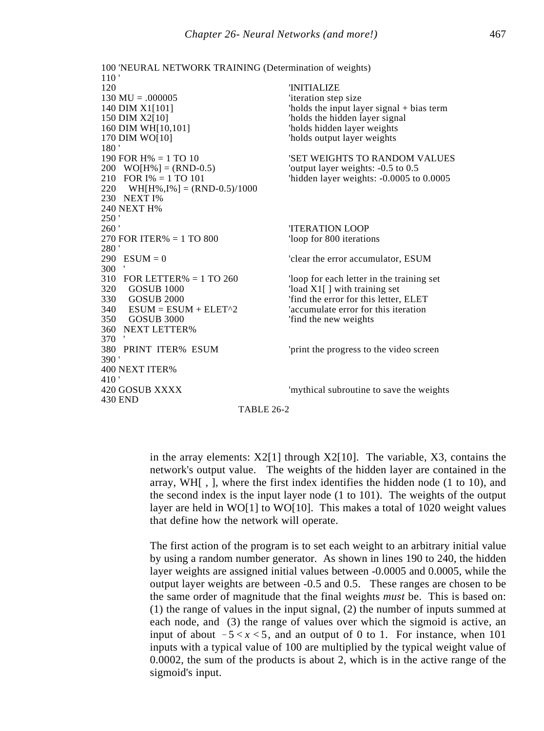```
100 'NEURAL NETWORK TRAINING (Determination of weights)
\frac{110}{120}120 'INITIALIZE<br>130 MU = .000005 'iteration ster
                                       'iteration step size
140 DIM X1[101] 'holds the input layer signal + bias term<br>150 DIM X2[10] 'holds the hidden layer signal
                                       holds the hidden layer signal
160 DIM WH[10,101] 'holds hidden layer weights
170 DIM WO[10] \blacksquare 'holds output layer weights
180 '
190 FOR H% = 1 TO 10 \, 'SET WEIGHTS TO RANDOM VALUES
200 \text{ WO}[\text{H}\%] = (\text{RND-0.5}) 'output layer weights: -0.5 to 0.5<br>210 FOR I\% = 1 TO 101 'hidden layer weights: -0.0005 to
                                       'hidden layer weights: -0.0005 to 0.0005220 WH[H%,I%] = (RND-0.5)/1000230 NEXT I%
240 NEXT H%
250 '
260 ' TTERATION LOOP
270 FOR ITER% = 1 TO 800 'loop for 800 iterations
280'<br>290 ESUM = 0
                                       'clear the error accumulator. ESUM
300 '<br>310 FOR LETTER% = 1 TO 260
                                       'loop for each letter in the training set
320 GOSUB 1000 'load X1[ ] with training set
330 GOSUB 2000 'find the error for this letter, ELET
340 ESUM = ESUM + ELET^2 \alpha 'accumulate error for this iteration
350 GOSUB 3000 'find the new weights
360 NEXT LETTER%
370 '
380 PRINT ITER% ESUM 'print the progress to the video screen
390 '
400 NEXT ITER%
410 '
420 GOSUB XXXX 'mythical subroutine to save the weights
430 END
                             TABLE 26-2
```
in the array elements: X2[1] through X2[10]. The variable, X3, contains the network's output value. The weights of the hidden layer are contained in the array, WH[ , ], where the first index identifies the hidden node (1 to 10), and the second index is the input layer node (1 to 101). The weights of the output layer are held in WO[1] to WO[10]. This makes a total of 1020 weight values that define how the network will operate.

The first action of the program is to set each weight to an arbitrary initial value by using a random number generator. As shown in lines 190 to 240, the hidden layer weights are assigned initial values between -0.0005 and 0.0005, while the output layer weights are between -0.5 and 0.5. These ranges are chosen to be the same order of magnitude that the final weights *must* be. This is based on: (1) the range of values in the input signal, (2) the number of inputs summed at each node, and (3) the range of values over which the sigmoid is active, an input of about  $-5 < x < 5$ , and an output of 0 to 1. For instance, when 101 inputs with a typical value of 100 are multiplied by the typical weight value of 0.0002, the sum of the products is about 2, which is in the active range of the sigmoid's input.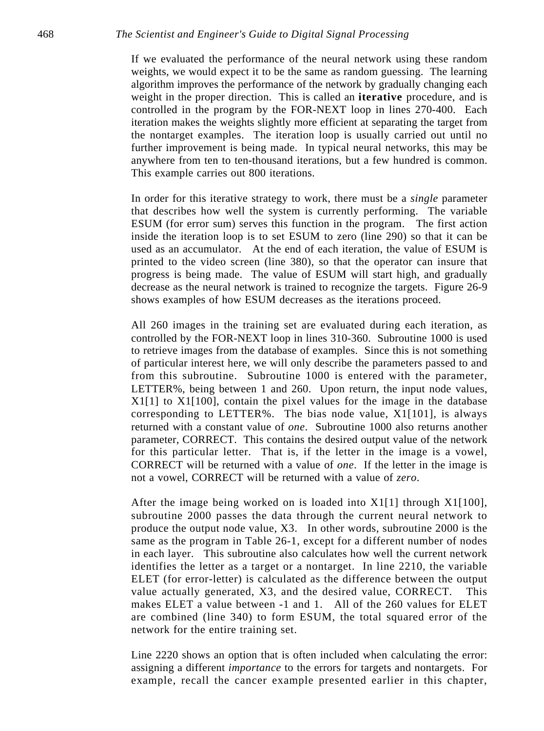If we evaluated the performance of the neural network using these random weights, we would expect it to be the same as random guessing. The learning algorithm improves the performance of the network by gradually changing each weight in the proper direction. This is called an **iterative** procedure, and is controlled in the program by the FOR-NEXT loop in lines 270-400. Each iteration makes the weights slightly more efficient at separating the target from the nontarget examples. The iteration loop is usually carried out until no further improvement is being made. In typical neural networks, this may be anywhere from ten to ten-thousand iterations, but a few hundred is common. This example carries out 800 iterations.

In order for this iterative strategy to work, there must be a *single* parameter that describes how well the system is currently performing. The variable ESUM (for error sum) serves this function in the program. The first action inside the iteration loop is to set ESUM to zero (line 290) so that it can be used as an accumulator. At the end of each iteration, the value of ESUM is printed to the video screen (line 380), so that the operator can insure that progress is being made. The value of ESUM will start high, and gradually decrease as the neural network is trained to recognize the targets. Figure 26-9 shows examples of how ESUM decreases as the iterations proceed.

All 260 images in the training set are evaluated during each iteration, as controlled by the FOR-NEXT loop in lines 310-360. Subroutine 1000 is used to retrieve images from the database of examples. Since this is not something of particular interest here, we will only describe the parameters passed to and from this subroutine. Subroutine 1000 is entered with the parameter, LETTER%, being between 1 and 260. Upon return, the input node values, X1[1] to X1[100], contain the pixel values for the image in the database corresponding to LETTER%. The bias node value, X1[101], is always returned with a constant value of *one*. Subroutine 1000 also returns another parameter, CORRECT. This contains the desired output value of the network for this particular letter. That is, if the letter in the image is a vowel, CORRECT will be returned with a value of *one*. If the letter in the image is not a vowel, CORRECT will be returned with a value of *zero*.

After the image being worked on is loaded into  $X1[1]$  through  $X1[100]$ , subroutine 2000 passes the data through the current neural network to produce the output node value, X3. In other words, subroutine 2000 is the same as the program in Table 26-1, except for a different number of nodes in each layer. This subroutine also calculates how well the current network identifies the letter as a target or a nontarget. In line 2210, the variable ELET (for error-letter) is calculated as the difference between the output value actually generated, X3, and the desired value, CORRECT. This makes ELET a value between -1 and 1. All of the 260 values for ELET are combined (line 340) to form ESUM, the total squared error of the network for the entire training set.

Line 2220 shows an option that is often included when calculating the error: assigning a different *importance* to the errors for targets and nontargets. For example, recall the cancer example presented earlier in this chapter,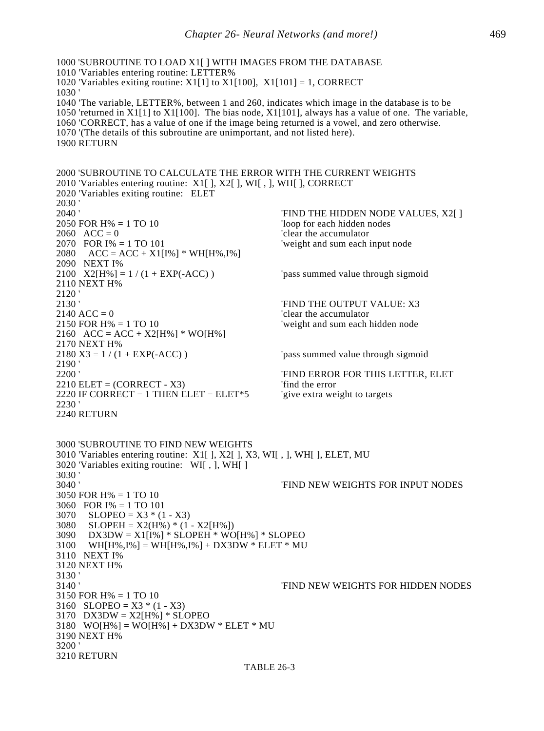1000 'SUBROUTINE TO LOAD X1[ ] WITH IMAGES FROM THE DATABASE 1010 'Variables entering routine: LETTER% 1020 'Variables exiting routine:  $X1[1]$  to  $X1[100]$ ,  $X1[101] = 1$ , CORRECT 1030 ' 1040 'The variable, LETTER%, between 1 and 260, indicates which image in the database is to be 1050 'returned in X1[1] to X1[100]. The bias node, X1[101], always has a value of one. The variable, 1060 'CORRECT, has a value of one if the image being returned is a vowel, and zero otherwise. 1070 '(The details of this subroutine are unimportant, and not listed here). 1900 RETURN 2000 'SUBROUTINE TO CALCULATE THE ERROR WITH THE CURRENT WEIGHTS 2010 'Variables entering routine: X1[ ], X2[ ], WI[ , ], WH[ ], CORRECT 2020 'Variables exiting routine: ELET  $2030'$ <br> $2040'$ 'FIND THE HIDDEN NODE VALUES, X2[ ] 2050 FOR H% = 1 TO 10 'loop for each hidden nodes  $2060 \text{ ACC} = 0$  'clear the accumulator 2070 FOR I% = 1 TO 101 'weight and sum each input node 2080  $ACC = ACC + X1[I\%] * WH[H\%, I\%]$ 2090 NEXT I% 2100  $X2[H\%] = 1/(1 + EXP(-ACC))$  'pass summed value through sigmoid 2110 NEXT H% 2120 ' 2130 ' 'FIND THE OUTPUT VALUE: X3 2140 ACC = 0 'clear the accumulator  $2150$  FOR H% = 1 TO 10  $\qquad$  'weight and sum each hidden node 2160 ACC = ACC +  $X2[H%]$  \* WO[H%] 2170 NEXT H%  $2180 X3 = 1 / (1 + EXP(-ACC))$  'pass summed value through sigmoid 2190 '<br>2200 ' 'FIND ERROR FOR THIS LETTER, ELET 2210 ELET =  $(CORRECT - X3)$  'find the error<br>2220 IF CORRECT = 1 THEN ELET = ELET\*5 'give extra weight to targets  $2220$  IF CORRECT = 1 THEN ELET = ELET\*5 2230 ' 2240 RETURN 3000 'SUBROUTINE TO FIND NEW WEIGHTS 3010 'Variables entering routine: X1[ ], X2[ ], X3, WI[ , ], WH[ ], ELET, MU 3020 'Variables exiting routine: WI[ , ], WH[ ] 3030 ' 3040 ' 'FIND NEW WEIGHTS FOR INPUT NODES 3050 FOR H% = 1 TO 10 3060 FOR I% = 1 TO 101  $3070$  SLOPEO = X3  $*(1 - X3)$ 3080 SLOPEH =  $X2(H\%)$  \* (1 -  $X2[H\%]$ )  $3090$  DX3DW = X1[I%] \* SLOPEH \* WO[H%] \* SLOPEO 3100 WH[H%,I%] = WH[H%,I%] + DX3DW \* ELET \* MU 3110 NEXT I% 3120 NEXT H% 3130 '<br>3140 ' 'FIND NEW WEIGHTS FOR HIDDEN NODES 3150 FOR H% = 1 TO 10 3160 SLOPEO =  $X3 * (1 - X3)$ 3170 DX3DW = X2[H%] \* SLOPEO  $3180$  WO[H%] = WO[H%] + DX3DW \* ELET \* MU 3190 NEXT H% 3200 ' 3210 RETURN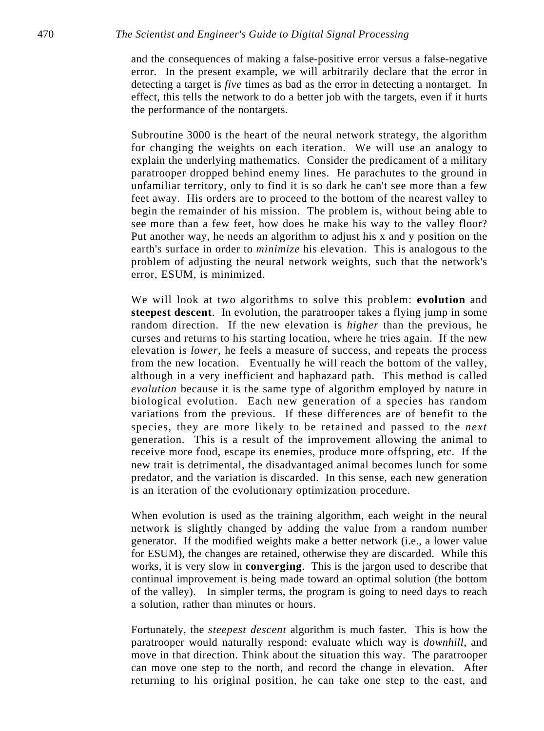and the consequences of making a false-positive error versus a false-negative error. In the present example, we will arbitrarily declare that the error in detecting a target is *five* times as bad as the error in detecting a nontarget. In effect, this tells the network to do a better job with the targets, even if it hurts the performance of the nontargets.

Subroutine 3000 is the heart of the neural network strategy, the algorithm for changing the weights on each iteration. We will use an analogy to explain the underlying mathematics. Consider the predicament of a military paratrooper dropped behind enemy lines. He parachutes to the ground in unfamiliar territory, only to find it is so dark he can't see more than a few feet away. His orders are to proceed to the bottom of the nearest valley to begin the remainder of his mission. The problem is, without being able to see more than a few feet, how does he make his way to the valley floor? Put another way, he needs an algorithm to adjust his x and y position on the earth's surface in order to *minimize* his elevation. This is analogous to the problem of adjusting the neural network weights, such that the network's error, ESUM, is minimized.

We will look at two algorithms to solve this problem: **evolution** and **steepest descent**. In evolution, the paratrooper takes a flying jump in some random direction. If the new elevation is *higher* than the previous, he curses and returns to his starting location, where he tries again. If the new elevation is *lower*, he feels a measure of success, and repeats the process from the new location. Eventually he will reach the bottom of the valley, although in a very inefficient and haphazard path. This method is called *evolution* because it is the same type of algorithm employed by nature in biological evolution. Each new generation of a species has random variations from the previous. If these differences are of benefit to the species, they are more likely to be retained and passed to the *next* generation. This is a result of the improvement allowing the animal to receive more food, escape its enemies, produce more offspring, etc. If the new trait is detrimental, the disadvantaged animal becomes lunch for some predator, and the variation is discarded. In this sense, each new generation is an iteration of the evolutionary optimization procedure.

When evolution is used as the training algorithm, each weight in the neural network is slightly changed by adding the value from a random number generator. If the modified weights make a better network (i.e., a lower value for ESUM), the changes are retained, otherwise they are discarded. While this works, it is very slow in **converging**. This is the jargon used to describe that continual improvement is being made toward an optimal solution (the bottom of the valley). In simpler terms, the program is going to need days to reach a solution, rather than minutes or hours.

Fortunately, the *steepest descent* algorithm is much faster. This is how the paratrooper would naturally respond: evaluate which way is *downhill*, and move in that direction. Think about the situation this way. The paratrooper can move one step to the north, and record the change in elevation. After returning to his original position, he can take one step to the east, and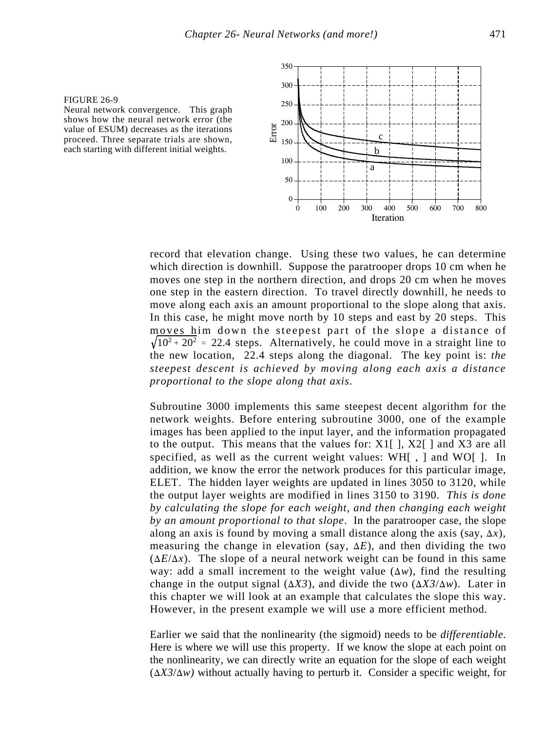

Neural network convergence. This graph shows how the neural network error (the value of ESUM) decreases as the iterations proceed. Three separate trials are shown, each starting with different initial weights.



record that elevation change. Using these two values, he can determine which direction is downhill. Suppose the paratrooper drops 10 cm when he moves one step in the northern direction, and drops 20 cm when he moves one step in the eastern direction. To travel directly downhill, he needs to move along each axis an amount proportional to the slope along that axis. In this case, he might move north by 10 steps and east by 20 steps. This moves him down the steepest part of the slope a distance of  $\sqrt{10^2 + 20^2}$  = 22.4 steps. Alternatively, he could move in a straight line to the new location, 22.4 steps along the diagonal. The key point is: *the steepest descent is achieved by moving along each axis a distance proportional to the slope along that axis*.

Subroutine 3000 implements this same steepest decent algorithm for the network weights. Before entering subroutine 3000, one of the example images has been applied to the input layer, and the information propagated to the output. This means that the values for:  $X1\begin{bmatrix} 1 \\ 1 \\ X2 \end{bmatrix}$  and X3 are all specified, as well as the current weight values: WH[ , ] and WO[ ]. In addition, we know the error the network produces for this particular image, ELET. The hidden layer weights are updated in lines 3050 to 3120, while the output layer weights are modified in lines 3150 to 3190. *This is done by calculating the slope for each weight, and then changing each weight by an amount proportional to that slope*. In the paratrooper case, the slope along an axis is found by moving a small distance along the axis (say,  $\Delta x$ ), measuring the change in elevation (say,  $\Delta E$ ), and then dividing the two  $(\Delta E/\Delta x)$ . The slope of a neural network weight can be found in this same way: add a small increment to the weight value  $(\Delta w)$ , find the resulting change in the output signal ( $\Delta X3$ ), and divide the two ( $\Delta X3/\Delta w$ ). Later in this chapter we will look at an example that calculates the slope this way. However, in the present example we will use a more efficient method.

Earlier we said that the nonlinearity (the sigmoid) needs to be *differentiable*. Here is where we will use this property. If we know the slope at each point on the nonlinearity, we can directly write an equation for the slope of each weight  $(\Delta X3/\Delta w)$  without actually having to perturb it. Consider a specific weight, for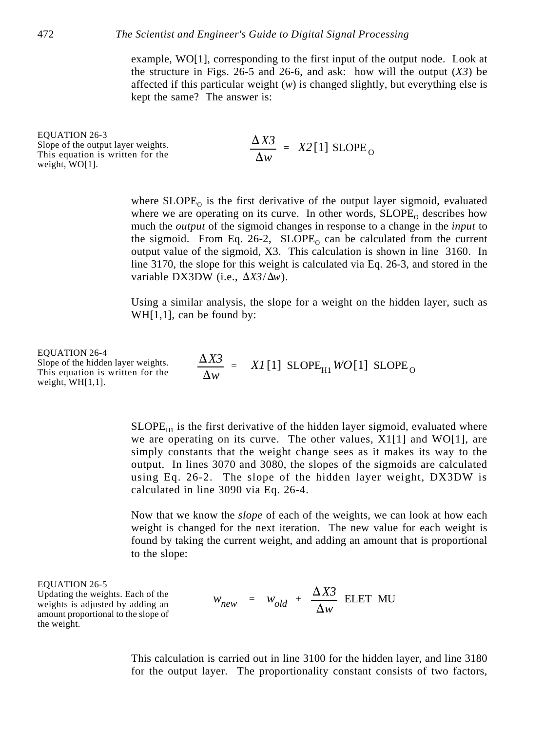)*X3*

example, WO[1], corresponding to the first input of the output node. Look at the structure in Figs. 26-5 and 26-6, and ask: how will the output  $(X3)$  be affected if this particular weight (*w*) is changed slightly, but everything else is kept the same? The answer is:

 $\frac{\Delta X J}{\Delta w}$  = X2 [1] SLOPE<sub>O</sub>

EQUATION 26-3 Slope of the output layer weights. This equation is written for the weight, WO[1].

> where  $SLOPE<sub>o</sub>$  is the first derivative of the output layer sigmoid, evaluated where we are operating on its curve. In other words,  $SLOPE<sub>o</sub>$  describes how much the *output* of the sigmoid changes in response to a change in the *input* to the sigmoid. From Eq. 26-2,  $SLOPE<sub>o</sub>$  can be calculated from the current output value of the sigmoid, X3. This calculation is shown in line 3160. In line 3170, the slope for this weight is calculated via Eq. 26-3, and stored in the variable DX3DW (i.e.,  $\Delta X3/\Delta w$ ).

> Using a similar analysis, the slope for a weight on the hidden layer, such as WH[1,1], can be found by:

)*X3*  $\frac{\Delta X J}{\Delta w}$  = X1[1] SLOPE<sub>H1</sub>WO[1] SLOPE<sub>O</sub> EQUATION 26-4 Slope of the hidden layer weights. This equation is written for the weight,  $WH[1,1]$ .

> $SLOPE<sub>H1</sub>$  is the first derivative of the hidden layer sigmoid, evaluated where we are operating on its curve. The other values, X1[1] and WO[1], are simply constants that the weight change sees as it makes its way to the output. In lines 3070 and 3080, the slopes of the sigmoids are calculated using Eq. 26-2. The slope of the hidden layer weight, DX3DW is calculated in line 3090 via Eq. 26-4.

> Now that we know the *slope* of each of the weights, we can look at how each weight is changed for the next iteration. The new value for each weight is found by taking the current weight, and adding an amount that is proportional to the slope:

EQUATION 26-5 Updating the weights. Each of the weights is adjusted by adding an amount proportional to the slope of the weight.

 $w_{new}$  =  $w_{old}$  +  $\frac{\Delta X3}{\Delta W}$  $\Delta w$ ELET MU

This calculation is carried out in line 3100 for the hidden layer, and line 3180 for the output layer. The proportionality constant consists of two factors,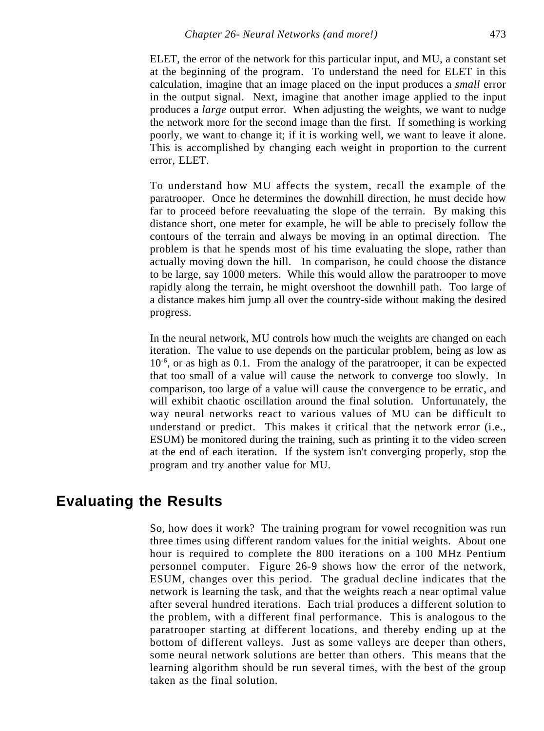ELET, the error of the network for this particular input, and MU, a constant set at the beginning of the program. To understand the need for ELET in this calculation, imagine that an image placed on the input produces a *small* error in the output signal. Next, imagine that another image applied to the input produces a *large* output error. When adjusting the weights, we want to nudge the network more for the second image than the first. If something is working poorly, we want to change it; if it is working well, we want to leave it alone. This is accomplished by changing each weight in proportion to the current error, ELET.

To understand how MU affects the system, recall the example of the paratrooper. Once he determines the downhill direction, he must decide how far to proceed before reevaluating the slope of the terrain. By making this distance short, one meter for example, he will be able to precisely follow the contours of the terrain and always be moving in an optimal direction. The problem is that he spends most of his time evaluating the slope, rather than actually moving down the hill. In comparison, he could choose the distance to be large, say 1000 meters. While this would allow the paratrooper to move rapidly along the terrain, he might overshoot the downhill path. Too large of a distance makes him jump all over the country-side without making the desired progress.

In the neural network, MU controls how much the weights are changed on each iteration. The value to use depends on the particular problem, being as low as  $10^{-6}$ , or as high as 0.1. From the analogy of the paratrooper, it can be expected that too small of a value will cause the network to converge too slowly. In comparison, too large of a value will cause the convergence to be erratic, and will exhibit chaotic oscillation around the final solution. Unfortunately, the way neural networks react to various values of MU can be difficult to understand or predict. This makes it critical that the network error (i.e., ESUM) be monitored during the training, such as printing it to the video screen at the end of each iteration. If the system isn't converging properly, stop the program and try another value for MU.

# **Evaluating the Results**

So, how does it work? The training program for vowel recognition was run three times using different random values for the initial weights. About one hour is required to complete the 800 iterations on a 100 MHz Pentium personnel computer. Figure 26-9 shows how the error of the network, ESUM, changes over this period. The gradual decline indicates that the network is learning the task, and that the weights reach a near optimal value after several hundred iterations. Each trial produces a different solution to the problem, with a different final performance. This is analogous to the paratrooper starting at different locations, and thereby ending up at the bottom of different valleys. Just as some valleys are deeper than others, some neural network solutions are better than others. This means that the learning algorithm should be run several times, with the best of the group taken as the final solution.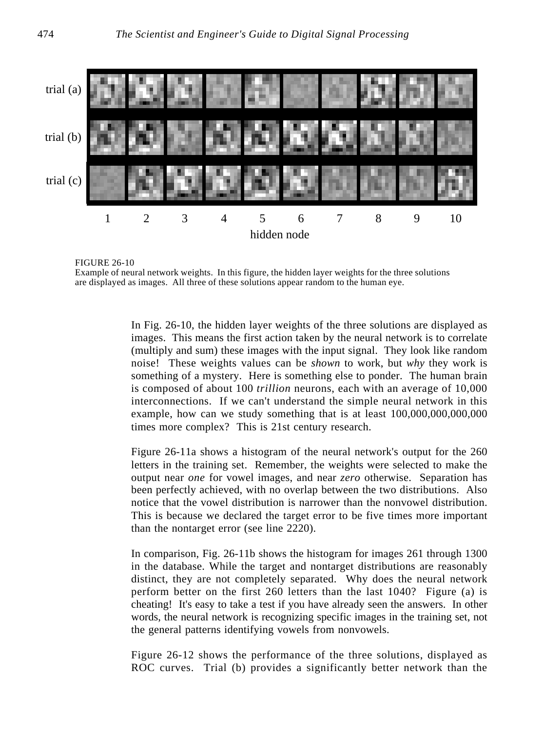

FIGURE 26-10

Example of neural network weights. In this figure, the hidden layer weights for the three solutions are displayed as images. All three of these solutions appear random to the human eye.

In Fig. 26-10, the hidden layer weights of the three solutions are displayed as images. This means the first action taken by the neural network is to correlate (multiply and sum) these images with the input signal. They look like random noise! These weights values can be *shown* to work, but *why* they work is something of a mystery. Here is something else to ponder. The human brain is composed of about 100 *trillion* neurons, each with an average of 10,000 interconnections. If we can't understand the simple neural network in this example, how can we study something that is at least 100,000,000,000,000 times more complex? This is 21st century research.

Figure 26-11a shows a histogram of the neural network's output for the 260 letters in the training set. Remember, the weights were selected to make the output near *one* for vowel images, and near *zero* otherwise. Separation has been perfectly achieved, with no overlap between the two distributions. Also notice that the vowel distribution is narrower than the nonvowel distribution. This is because we declared the target error to be five times more important than the nontarget error (see line 2220).

In comparison, Fig. 26-11b shows the histogram for images 261 through 1300 in the database. While the target and nontarget distributions are reasonably distinct, they are not completely separated. Why does the neural network perform better on the first 260 letters than the last 1040? Figure (a) is cheating! It's easy to take a test if you have already seen the answers. In other words, the neural network is recognizing specific images in the training set, not the general patterns identifying vowels from nonvowels.

Figure 26-12 shows the performance of the three solutions, displayed as ROC curves. Trial (b) provides a significantly better network than the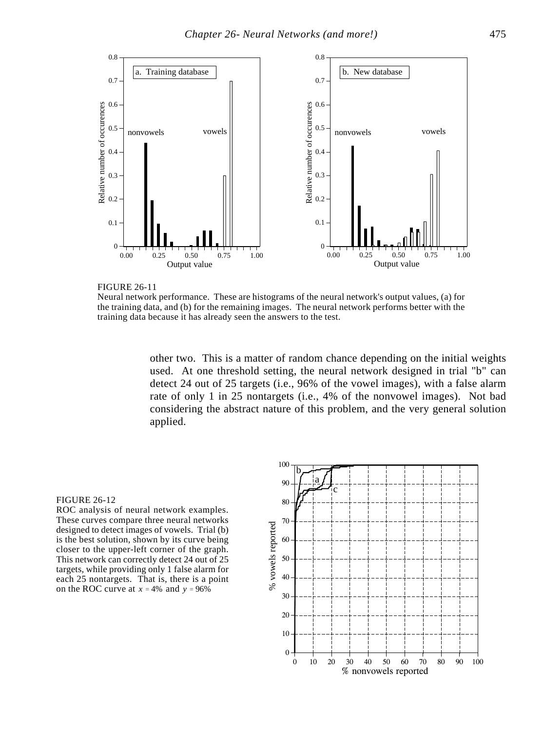

FIGURE 26-11

Neural network performance. These are histograms of the neural network's output values, (a) for the training data, and (b) for the remaining images. The neural network performs better with the training data because it has already seen the answers to the test.

other two. This is a matter of random chance depending on the initial weights used. At one threshold setting, the neural network designed in trial "b" can detect 24 out of 25 targets (i.e., 96% of the vowel images), with a false alarm rate of only 1 in 25 nontargets (i.e., 4% of the nonvowel images). Not bad considering the abstract nature of this problem, and the very general solution applied.

#### FIGURE 26-12

ROC analysis of neural network examples. These curves compare three neural networks designed to detect images of vowels. Trial (b) is the best solution, shown by its curve being closer to the upper-left corner of the graph. This network can correctly detect 24 out of 25 targets, while providing only 1 false alarm for each 25 nontargets. That is, there is a point on the ROC curve at  $x = 4\%$  and  $y = 96\%$ 

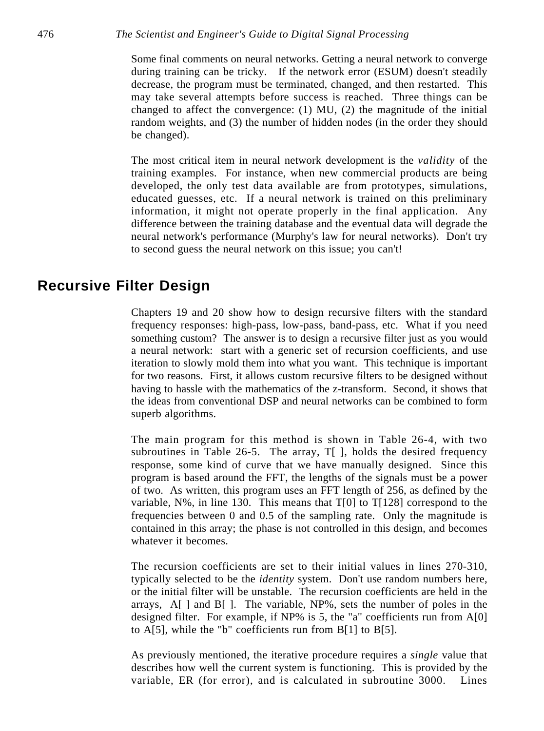Some final comments on neural networks. Getting a neural network to converge during training can be tricky. If the network error (ESUM) doesn't steadily decrease, the program must be terminated, changed, and then restarted. This may take several attempts before success is reached. Three things can be changed to affect the convergence: (1) MU, (2) the magnitude of the initial random weights, and (3) the number of hidden nodes (in the order they should be changed).

The most critical item in neural network development is the *validity* of the training examples. For instance, when new commercial products are being developed, the only test data available are from prototypes, simulations, educated guesses, etc. If a neural network is trained on this preliminary information, it might not operate properly in the final application. Any difference between the training database and the eventual data will degrade the neural network's performance (Murphy's law for neural networks). Don't try to second guess the neural network on this issue; you can't!

## **Recursive Filter Design**

Chapters 19 and 20 show how to design recursive filters with the standard frequency responses: high-pass, low-pass, band-pass, etc. What if you need something custom? The answer is to design a recursive filter just as you would a neural network: start with a generic set of recursion coefficients, and use iteration to slowly mold them into what you want. This technique is important for two reasons. First, it allows custom recursive filters to be designed without having to hassle with the mathematics of the z-transform. Second, it shows that the ideas from conventional DSP and neural networks can be combined to form superb algorithms.

The main program for this method is shown in Table 26-4, with two subroutines in Table 26-5. The array, T[ ], holds the desired frequency response, some kind of curve that we have manually designed. Since this program is based around the FFT, the lengths of the signals must be a power of two. As written, this program uses an FFT length of 256, as defined by the variable,  $N\%$ , in line 130. This means that  $T[0]$  to  $T[128]$  correspond to the frequencies between 0 and 0.5 of the sampling rate. Only the magnitude is contained in this array; the phase is not controlled in this design, and becomes whatever it becomes.

The recursion coefficients are set to their initial values in lines 270-310, typically selected to be the *identity* system. Don't use random numbers here, or the initial filter will be unstable. The recursion coefficients are held in the arrays, A[ ] and B[ ]. The variable, NP%, sets the number of poles in the designed filter. For example, if NP% is 5, the "a" coefficients run from A[0] to  $A[5]$ , while the "b" coefficients run from  $B[1]$  to  $B[5]$ .

As previously mentioned, the iterative procedure requires a *single* value that describes how well the current system is functioning. This is provided by the variable, ER (for error), and is calculated in subroutine 3000. Lines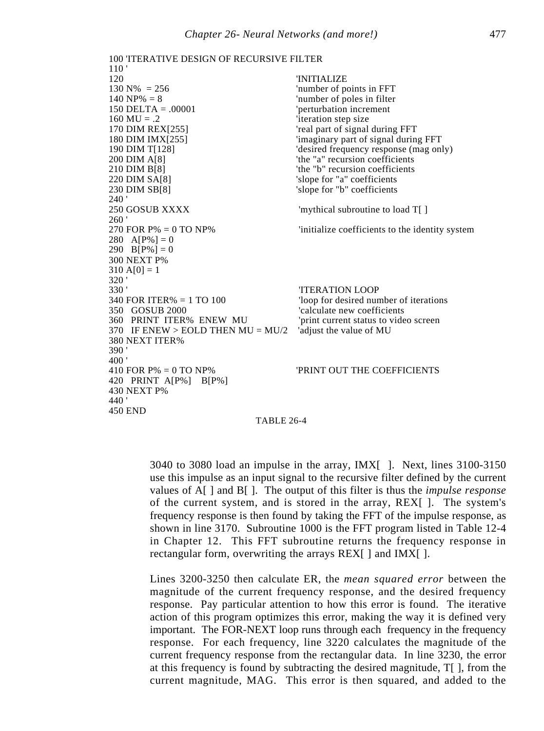```
100 'ITERATIVE DESIGN OF RECURSIVE FILTER
\frac{110}{120}'INITIALIZE
130 \text{ N\%} = 256 'number of points in FFT
140 \text{ NP\%} = 8 'number of poles in filter
150 DELTA = .00001 'perturbation increment
160 MU = .2<br>170 DIM REX[255] <sup>'</sup>iteration step size<br>
'real part of signal
                                          'real part of signal during FFT
180 DIM IMX[255] \frac{180 \text{ DIM} \text{IMX}[255]}{\text{the} \text{Weighted} \text{ frequency} \text{ response (mag on)}}'desired frequency response (mag only)
200 DIM A[8] 'the "a" recursion coefficients
210 DIM B[8] 'the "b" recursion coefficients
220 DIM SA[8] \blacksquare 'slope for "a" coefficients
230 DIM SB[8] 'slope for "b" coefficients
240 '<br>250 GOSUB XXXX
                                           'mythical subroutine to load T[ ]
260'<br>270 FOR P% = 0 TO NP%
                                           'initialize coefficients to the identity system
280 A[P\%] = 0
290 B[P\%] = 0300 NEXT P%
310 A[0] = 1\frac{320}{330}330 ' TIERATION LOOP<br>340 FOR ITER% = 1 TO 100 100 'loop for desired nun
340 FOR ITER% = 1 TO 100 350 COSUB 2000 \frac{350}{2} Calculate new coefficients
350 GOSUB 2000<br>360 PRINT ITER% ENEW MU The local local versus video of the coefficients
                                           'print current status to video screen
370 IF ENEW > EOLD THEN MU = MU/2 'adjust the value of MU
380 NEXT ITER%
390 ' 
400 '<br>410 FOR P% = 0 TO NP%
                                          'PRINT OUT THE COEFFICIENTS
420 PRINT A[P%] B[P%]
430 NEXT P%
440 '
450 END
                                 TABLE 26-4
```
3040 to 3080 load an impulse in the array, IMX[ ]. Next, lines 3100-3150 use this impulse as an input signal to the recursive filter defined by the current values of A[ ] and B[ ]. The output of this filter is thus the *impulse response* of the current system, and is stored in the array, REX[ ]. The system's frequency response is then found by taking the FFT of the impulse response, as shown in line 3170. Subroutine 1000 is the FFT program listed in Table 12-4 in Chapter 12. This FFT subroutine returns the frequency response in rectangular form, overwriting the arrays REX[ ] and IMX[ ].

Lines 3200-3250 then calculate ER, the *mean squared error* between the magnitude of the current frequency response, and the desired frequency response. Pay particular attention to how this error is found. The iterative action of this program optimizes this error, making the way it is defined very important. The FOR-NEXT loop runs through each frequency in the frequency response. For each frequency, line 3220 calculates the magnitude of the current frequency response from the rectangular data. In line 3230, the error at this frequency is found by subtracting the desired magnitude, T[ ], from the current magnitude, MAG. This error is then squared, and added to the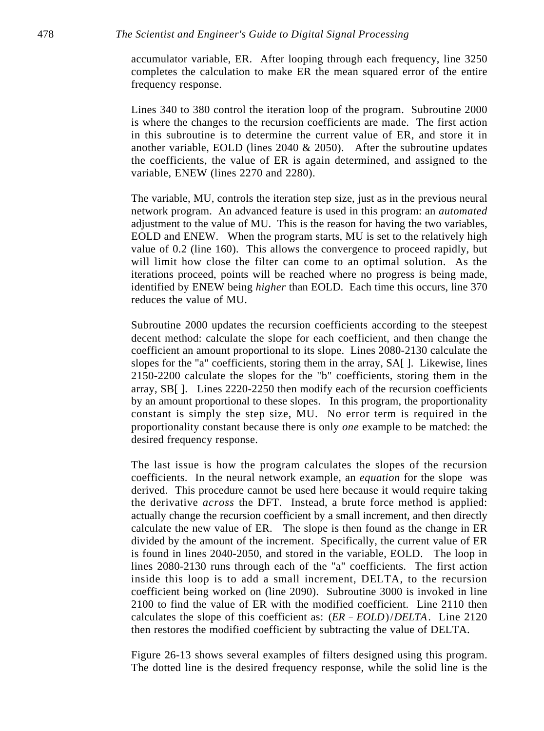#### 478 *The Scientist and Engineer's Guide to Digital Signal Processing*

accumulator variable, ER. After looping through each frequency, line 3250 completes the calculation to make ER the mean squared error of the entire frequency response.

Lines 340 to 380 control the iteration loop of the program. Subroutine 2000 is where the changes to the recursion coefficients are made. The first action in this subroutine is to determine the current value of ER, and store it in another variable, EOLD (lines  $2040 \& 2050$ ). After the subroutine updates the coefficients, the value of ER is again determined, and assigned to the variable, ENEW (lines 2270 and 2280).

The variable, MU, controls the iteration step size, just as in the previous neural network program. An advanced feature is used in this program: an *automated* adjustment to the value of MU. This is the reason for having the two variables, EOLD and ENEW. When the program starts, MU is set to the relatively high value of 0.2 (line 160). This allows the convergence to proceed rapidly, but will limit how close the filter can come to an optimal solution. As the iterations proceed, points will be reached where no progress is being made, identified by ENEW being *higher* than EOLD. Each time this occurs, line 370 reduces the value of MU.

Subroutine 2000 updates the recursion coefficients according to the steepest decent method: calculate the slope for each coefficient, and then change the coefficient an amount proportional to its slope. Lines 2080-2130 calculate the slopes for the "a" coefficients, storing them in the array, SA[]. Likewise, lines 2150-2200 calculate the slopes for the "b" coefficients, storing them in the array, SB[ ]. Lines 2220-2250 then modify each of the recursion coefficients by an amount proportional to these slopes. In this program, the proportionality constant is simply the step size, MU. No error term is required in the proportionality constant because there is only *one* example to be matched: the desired frequency response.

The last issue is how the program calculates the slopes of the recursion coefficients. In the neural network example, an *equation* for the slope was derived. This procedure cannot be used here because it would require taking the derivative *across* the DFT. Instead, a brute force method is applied: actually change the recursion coefficient by a small increment, and then directly calculate the new value of ER. The slope is then found as the change in ER divided by the amount of the increment. Specifically, the current value of ER is found in lines 2040-2050, and stored in the variable, EOLD. The loop in lines 2080-2130 runs through each of the "a" coefficients. The first action inside this loop is to add a small increment, DELTA, to the recursion coefficient being worked on (line 2090). Subroutine 3000 is invoked in line 2100 to find the value of ER with the modified coefficient. Line 2110 then calculates the slope of this coefficient as:  $(ER - EOLD)/DELTA$ . Line 2120 then restores the modified coefficient by subtracting the value of DELTA.

Figure 26-13 shows several examples of filters designed using this program. The dotted line is the desired frequency response, while the solid line is the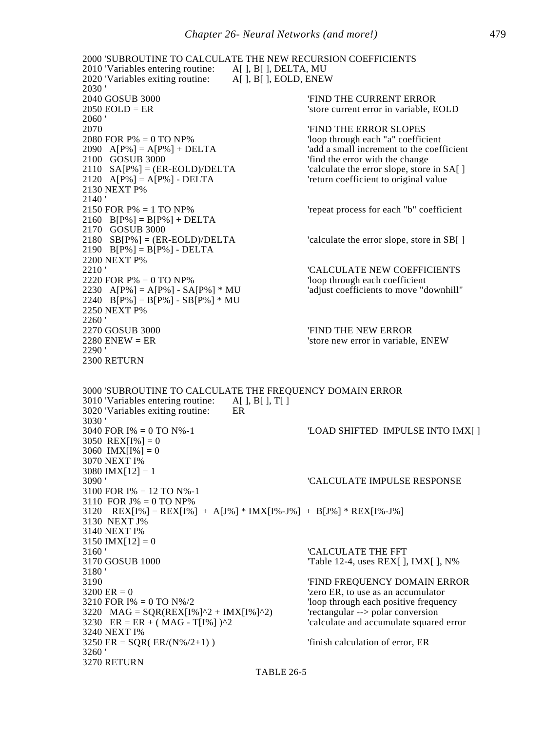```
2000 'SUBROUTINE TO CALCULATE THE NEW RECURSION COEFFICIENTS
2010 'Variables entering routine: A[ ], B[ ], DELTA, MU<br>2020 'Variables exiting routine: A[ ], B[ ], EOLD, ENEW
2020 'Variables exiting routine:
2030 '
2040 GOSUB 3000 'FIND THE CURRENT ERROR
2050 EOLD = ER 'store current error in variable, EOLD
2060 '<br>2070
                                                    'FIND THE ERROR SLOPES
2080 FOR P\% = 0 TO NP%<br>
2090 A[P\%] = A[P\%] + DELTA 'add a small increment to the coef
2090 \text{ A[P%]} = A[P\%] + DELTA 'add a small increment to the coefficient<br>2100 GOSUB 3000 'find the error with the change
2100 GOSUB 3000 'find the error with the change<br>2110 SA[P%] = (ER-EOLD)/DELTA 'calculate the error slope, store
2110 SA[P\%] = (ER-EOLD)/DELTA 'calculate the error slope, store in SA[]<br>2120 A[P\%] = A[P\%] - DELTA 'return coefficient to original value
                                                    'return coefficient to original value
2130 NEXT P%
2140 '<br>2150 FOR P% = 1 TO NP%
                                                    'repeat process for each "b" coefficient
2160 B[P%] = B[P%] + DELTA
2170 GOSUB 3000<br>2180 SB[P%] = (ER-EOLD)/DELTA'calculate the error slope, store in SB[ ]
2190 B[P\%] = B[P\%] - DELTA2200 NEXT P%
2210 ' CALCULATE NEW COEFFICIENTS
2220 FOR P% = 0 TO NP%<br>
2230 \text{ A[P\%]} = \text{A[P\%]} - \text{SA[P\%]} * \text{MU} 'adjust coefficients to move "downhill"
2230 A[P%] = A[P%] - SA[P%] * MU
2240 B[P\%] = B[P\%] - SB[P\%] * MU2250 NEXT P%
2260 '
2270 GOSUB 3000 'FIND THE NEW ERROR
2280 ENEW = ER 'store new error in variable, ENEW
2290 '
2300 RETURN
3000 'SUBROUTINE TO CALCULATE THE FREQUENCY DOMAIN ERROR
3010 'Variables entering routine: A[ ], B[ ], T[ ]
3020 'Variables exiting routine: ER 
3030 '
3040 FOR I% = 0 TO N%-1 'LOAD SHIFTED IMPULSE INTO IMX[ ]
3050 REX[1\%] = 03060 IMX[1\%] = 03070 NEXT I%
3080 IMX[12] = 1<br>3090 '
                                                    'CALCULATE IMPULSE RESPONSE
3100 FOR I% = 12 TO N%-1
3110 FOR J\% = 0 TO NP%
3120 REX[I%] = REX[I%] + A[J%] * IMX[I%-J%] + B[J%] * REX[I%-J%]
3130 NEXT J%
3140 NEXT I%
3150 IMX[12] = 0<br>3160
3160 '<br>
3170 GOSUB 1000 ' 'CALCULATE THE FFT<br>
Table 12-4, uses REX[],
                                                    'Table 12-4, uses REX[ ], IMX[ ], N%
3180 '
3190 'FIND FREQUENCY DOMAIN ERROR
3200 \text{ ER} = 0 \text{zero ER, to use as an accumulator}3210 FOR I% = 0 TO N%/2 \frac{1000 \text{ H}}{2000 \text{ H}} \frac{1000 \text{ H}}{2000 \text{ H}} \frac{1000 \text{ H}}{2000 \text{ H}}3220 MAG = SQR(REX[I%]^2 + IMX[I%]^2) 'rectangular --> polar conversion<br>3230 ER = ER + (MAG - T[I%])^2 'calculate and accumulate square
                                                    'calculate and accumulate squared error
3240 NEXT I%
3250 \text{ ER} = \text{SOR}(\text{ER}/(\text{N}\%)2+1) ) 'finish calculation of error, ER
3260 '
3270 RETURN
```